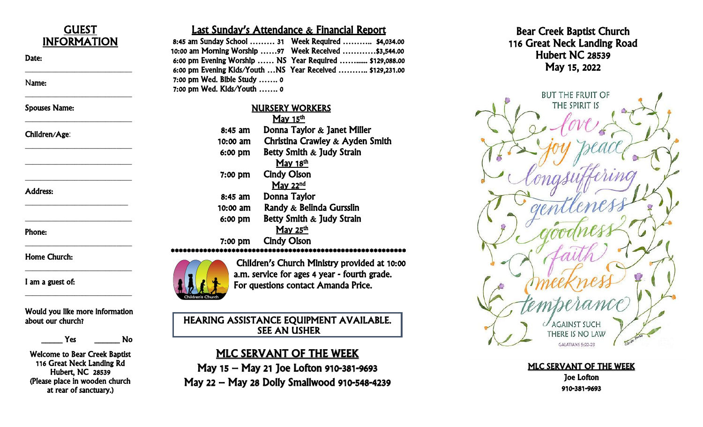

Phone:

Home Church:

I am a guest of:

Would you like more information about our church?

\_\_\_\_\_\_\_\_\_\_\_\_\_\_\_\_\_\_\_\_\_\_\_\_\_\_\_

\_\_\_\_\_\_\_\_\_\_\_\_\_\_\_\_\_\_\_\_\_\_\_\_\_\_\_\_

\_\_\_\_\_\_\_\_\_\_\_\_\_\_\_\_\_\_\_\_\_\_\_\_\_\_\_\_

\_\_\_\_\_\_\_\_\_\_\_\_\_\_\_\_\_\_\_\_\_\_\_\_\_\_\_\_

\_\_\_\_\_\_\_\_\_\_\_\_\_\_\_\_\_\_\_\_\_\_\_\_\_\_\_\_

\_\_\_\_\_ Yes \_\_\_\_\_\_ No

Welcome to Bear Creek Baptist 116 Great Neck Landing Rd Hubert, NC 28539 (Please place in wooden church at rear of sanctuary.)

### Last Sunday's Attendance & Financial Report

|                               | 8:45 am Sunday School  31 Week Required  \$4,034.00        |
|-------------------------------|------------------------------------------------------------|
|                               |                                                            |
|                               | 6:00 pm Evening Worship  NS Year Required  \$129,088.00    |
|                               | 6:00 pm Evening Kids/Youth  NS Year Received  \$129,231.00 |
| $7:00$ pm Wed. Bible Study  0 |                                                            |
| 7:00 pm Wed. Kids/Youth  0    |                                                            |

## NURSERY WORKERS

| May $15th$ |                                 |
|------------|---------------------------------|
| $8:45$ am  | Donna Taylor $\&$ Janet Miller  |
| 10:00 am   | Christina Crawley & Ayden Smith |
| 6:00 pm    | Betty Smith & Judy Strain       |
|            | May 18 <sup>th</sup>            |
| $7:00$ pm  | <b>Cindy Olson</b>              |
|            | May 22 $^{nd}$                  |
| 8:45 am    | Donna Taylor                    |
| 10:00 am   | Randy & Belinda Gursslin        |
| 6:00 pm    | Betty Smith & Judy Strain       |
|            | May 25 <sup>th</sup>            |
| 7:00 pm    | <b>Cindy Olson</b>              |
|            |                                 |



Children's Church Ministry provided at 10:00 a.m. service for ages 4 year - fourth grade. For questions contact Amanda Price.

HEARING ASSISTANCE EQUIPMENT AVAILABLE. SEE AN USHER

## MLC SERVANT OF THE WEEK

May 15 – May 21 Joe Lofton 910 -381 -9693 May 22 – May 28 Dolly Smallwood 910 -548 -4239





MLC SERVANT OF THE WEEK Joe Lofton 910 -381 -9693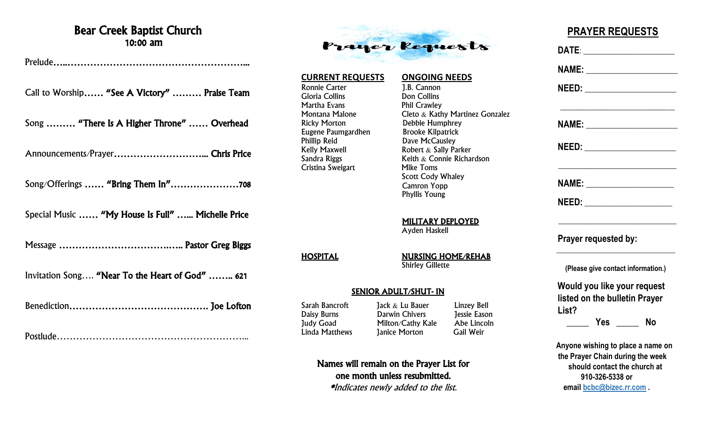## Bear Creek Baptist Church 10:00 am

Prelude…..………………………………………………...

Call to Worship…… "See A Victory" ……… Praise Team

Song ……… "There Is A Higher Throne" …… Overhead

Announcements/Prayer………………………... Chris Price

Song/Offerings …… "Bring Them In"…………………708

Special Music …… "My House Is Full" …... Michelle Price

Message …………………………….….. Pastor Greg Biggs

Invitation Song…. "Near To the Heart of God" …….. 621

Benediction……………………………………. Joe Lofton

Postlude…………………………………………………...



#### **CURRENT REQUESTS ONGOING NEEDS**

Ronnie Carter 1.B. Cannon Gloria Collins Don Collins Martha Evans **Phil Crawley** Ricky Morton Debbie Humphrey Eugene Paumgardhen Brooke Kilpatrick<br>Phillip Reid<br>Dave McCausley Phillip Reid Dave McCausley Kelly Maxwell **Robert & Sally Parker**<br>
Sandra Riggs **Reith & Connie Richa** Cristina Sweigart

Montana Malone Cleto & Kathy Martinez Gonzalez Keith  $&$  Connie Richardson<br>Mike Toms Scott Cody Whaley Camron Yopp Phyllis Young

> MILITARY DEPLOYED Ayden Haskell

HOSPITAL NURSING HOME/REHAB **Shirley Gillette** 

#### SENIOR ADULT/SHUT- IN

Sarah Bancroft Jack & Lu Bauer Linzey Bell Darwin Chivers Judy Goad Milton/Cathy Kale Abe Lincoln Linda Matthews Janice Morton Gail Weir

Names will remain on the Prayer List for one month unless resubmitted. \*Indicates newly added to the list.

# **PRAYER REQUESTS**

 **DATE**: \_\_\_\_\_\_\_\_\_\_\_\_\_\_\_\_\_\_\_\_\_\_\_\_  **NAME:** \_\_\_\_\_\_\_\_\_\_\_\_\_\_\_\_\_\_\_\_\_\_\_\_  **NEED:** \_\_\_\_\_\_\_\_\_\_\_\_\_\_\_\_\_\_\_\_\_\_\_\_  $\overline{\phantom{a}}$  , which is a set of the set of the set of the set of the set of the set of the set of the set of the set of the set of the set of the set of the set of the set of the set of the set of the set of the set of th  **NAME:** \_\_\_\_\_\_\_\_\_\_\_\_\_\_\_\_\_\_\_\_\_\_\_\_  **NEED:** \_\_\_\_\_\_\_\_\_\_\_\_\_\_\_\_\_\_\_\_\_\_\_\_ \_\_\_\_\_\_\_\_\_\_\_\_\_\_\_\_\_\_\_\_\_\_\_\_\_\_\_\_\_\_\_ **NAME:**  $\blacksquare$  **NEED:** \_\_\_\_\_\_\_\_\_\_\_\_\_\_\_\_\_\_\_\_\_\_\_ \_\_\_\_\_\_\_\_\_\_\_\_\_\_\_\_\_\_\_\_\_\_\_\_\_\_\_\_\_\_\_  **Prayer requested by:**  $\frac{1}{2}$  ,  $\frac{1}{2}$  ,  $\frac{1}{2}$  ,  $\frac{1}{2}$  ,  $\frac{1}{2}$  ,  $\frac{1}{2}$  ,  $\frac{1}{2}$  ,  $\frac{1}{2}$  ,  $\frac{1}{2}$  ,  $\frac{1}{2}$  ,  $\frac{1}{2}$  ,  $\frac{1}{2}$  ,  $\frac{1}{2}$  ,  $\frac{1}{2}$  ,  $\frac{1}{2}$  ,  $\frac{1}{2}$  ,  $\frac{1}{2}$  ,  $\frac{1}{2}$  ,  $\frac{1$  **(Please give contact information.) Would you like your request listed on the bulletin Prayer List? \_\_\_\_\_ Yes \_\_\_\_\_ No Anyone wishing to place a name on the Prayer Chain during the week should contact the church at 910-326-5338 or email [bcbc@bizec.rr.com](mailto:bcbc@bizec.rr.com) .**